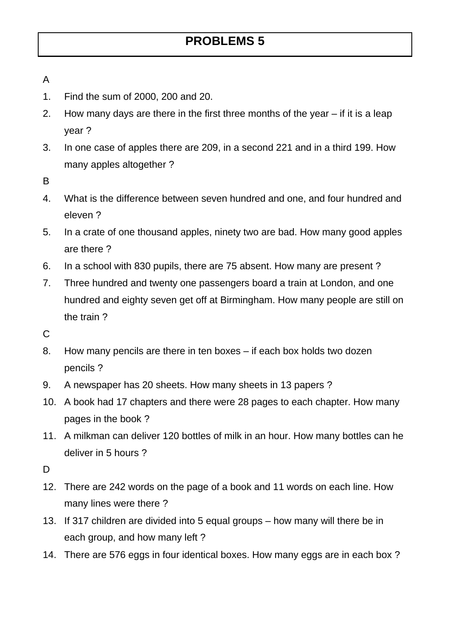- A
- 1. Find the sum of 2000, 200 and 20.
- 2. How many days are there in the first three months of the year if it is a leap year ?
- 3. In one case of apples there are 209, in a second 221 and in a third 199. How many apples altogether ?
- B
- 4. What is the difference between seven hundred and one, and four hundred and eleven ?
- 5. In a crate of one thousand apples, ninety two are bad. How many good apples are there ?
- 6. In a school with 830 pupils, there are 75 absent. How many are present ?
- 7. Three hundred and twenty one passengers board a train at London, and one hundred and eighty seven get off at Birmingham. How many people are still on the train ?
- C
- 8. How many pencils are there in ten boxes if each box holds two dozen pencils ?
- 9. A newspaper has 20 sheets. How many sheets in 13 papers ?
- 10. A book had 17 chapters and there were 28 pages to each chapter. How many pages in the book ?
- 11. A milkman can deliver 120 bottles of milk in an hour. How many bottles can he deliver in 5 hours ?
- D<sub>1</sub>
- 12. There are 242 words on the page of a book and 11 words on each line. How many lines were there ?
- 13. If 317 children are divided into 5 equal groups how many will there be in each group, and how many left ?
- 14. There are 576 eggs in four identical boxes. How many eggs are in each box ?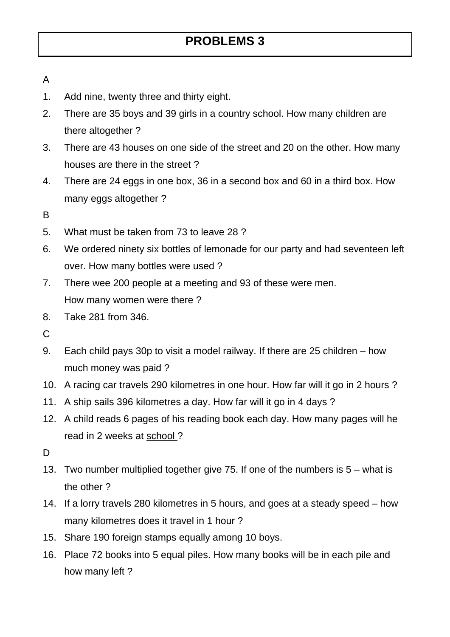## **PROBLEMS 3**

- A
- 1. Add nine, twenty three and thirty eight.
- 2. There are 35 boys and 39 girls in a country school. How many children are there altogether ?
- 3. There are 43 houses on one side of the street and 20 on the other. How many houses are there in the street ?
- 4. There are 24 eggs in one box, 36 in a second box and 60 in a third box. How many eggs altogether ?
- B
- 5. What must be taken from 73 to leave 28 ?
- 6. We ordered ninety six bottles of lemonade for our party and had seventeen left over. How many bottles were used ?
- 7. There wee 200 people at a meeting and 93 of these were men. How many women were there ?
- 8. Take 281 from 346.
- C
- 9. Each child pays 30p to visit a model railway. If there are 25 children how much money was paid ?
- 10. A racing car travels 290 kilometres in one hour. How far will it go in 2 hours ?
- 11. A ship sails 396 kilometres a day. How far will it go in 4 days ?
- 12. A child reads 6 pages of his reading book each day. How many pages will he read in 2 weeks at school ?
- D<sub>1</sub>
- 13. Two number multiplied together give 75. If one of the numbers is 5 what is the other ?
- 14. If a lorry travels 280 kilometres in 5 hours, and goes at a steady speed how many kilometres does it travel in 1 hour ?
- 15. Share 190 foreign stamps equally among 10 boys.
- 16. Place 72 books into 5 equal piles. How many books will be in each pile and how many left ?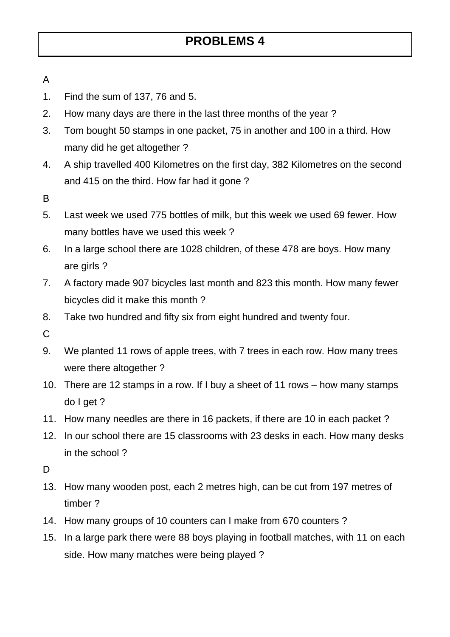## A

- 1. Find the sum of 137, 76 and 5.
- 2. How many days are there in the last three months of the year ?
- 3. Tom bought 50 stamps in one packet, 75 in another and 100 in a third. How many did he get altogether ?
- 4. A ship travelled 400 Kilometres on the first day, 382 Kilometres on the second and 415 on the third. How far had it gone ?
- B
- 5. Last week we used 775 bottles of milk, but this week we used 69 fewer. How many bottles have we used this week ?
- 6. In a large school there are 1028 children, of these 478 are boys. How many are girls ?
- 7. A factory made 907 bicycles last month and 823 this month. How many fewer bicycles did it make this month ?
- 8. Take two hundred and fifty six from eight hundred and twenty four.
- C
- 9. We planted 11 rows of apple trees, with 7 trees in each row. How many trees were there altogether ?
- 10. There are 12 stamps in a row. If I buy a sheet of 11 rows how many stamps do I get ?
- 11. How many needles are there in 16 packets, if there are 10 in each packet ?
- 12. In our school there are 15 classrooms with 23 desks in each. How many desks in the school ?
- D<sub>1</sub>
- 13. How many wooden post, each 2 metres high, can be cut from 197 metres of timber ?
- 14. How many groups of 10 counters can I make from 670 counters ?
- 15. In a large park there were 88 boys playing in football matches, with 11 on each side. How many matches were being played ?